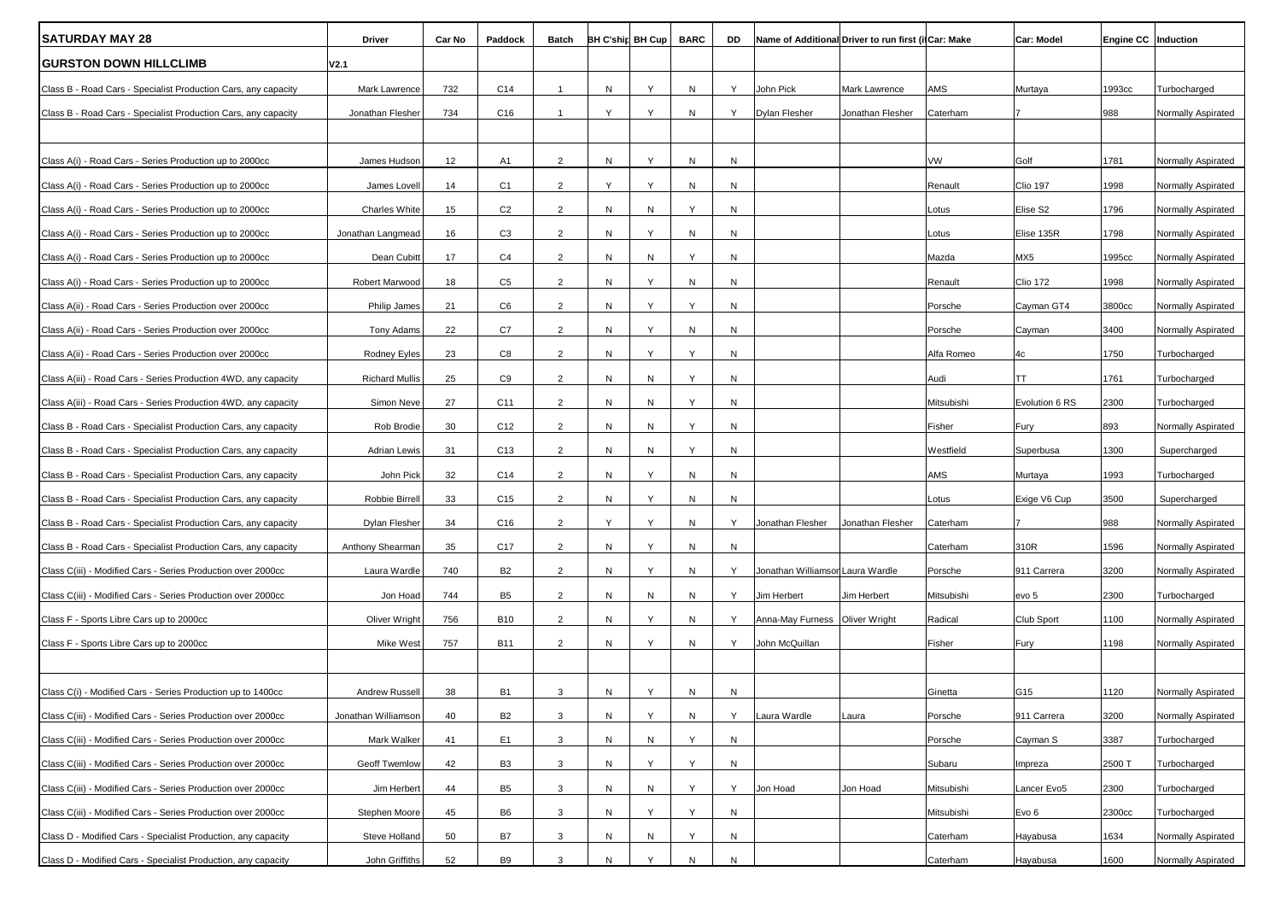| <b>ISATURDAY MAY 28</b>                                        | Driver                | Car No | Paddock         | Batch          | <b>BH C'ship BH Cup</b> |   | <b>BARC</b>  | DD | Name of Additional Driver to run first (if Car: Make |                      |            | Car: Model      | Engine CC   Induction |                    |
|----------------------------------------------------------------|-----------------------|--------|-----------------|----------------|-------------------------|---|--------------|----|------------------------------------------------------|----------------------|------------|-----------------|-----------------------|--------------------|
| <b>GURSTON DOWN HILLCLIMB</b>                                  | V2.1                  |        |                 |                |                         |   |              |    |                                                      |                      |            |                 |                       |                    |
| Class B - Road Cars - Specialist Production Cars, any capacity | Mark Lawrence         | 732    | C14             | $\overline{1}$ | N                       | Y | N            | Y  | John Pick                                            | Mark Lawrence        | AMS        | Murtaya         | 1993cc                | Turbocharged       |
| Class B - Road Cars - Specialist Production Cars, any capacity | Jonathan Flesher      | 734    | C16             | $\overline{1}$ | Y                       | Υ | N            | Y  | <b>Dylan Flesher</b>                                 | Jonathan Flesher     | Caterham   |                 | 988                   | Normally Aspirated |
|                                                                |                       |        |                 |                |                         |   |              |    |                                                      |                      |            |                 |                       |                    |
| Class A(i) - Road Cars - Series Production up to 2000cc        | James Hudson          | 12     | A <sub>1</sub>  | 2              | N                       | Y | N            | N  |                                                      |                      | VW         | Golf            | 1781                  | Normally Aspirated |
| Class A(i) - Road Cars - Series Production up to 2000cc        | James Lovell          | 14     | C <sub>1</sub>  | 2              | Y                       | Υ | N            | N  |                                                      |                      | Renault    | <b>Clio 197</b> | 1998                  | Normally Aspirated |
| Class A(i) - Road Cars - Series Production up to 2000cc        | <b>Charles White</b>  | 15     | C <sub>2</sub>  | $\overline{2}$ | N                       | N | Y            | N  |                                                      |                      | Lotus      | Elise S2        | 1796                  | Normally Aspirated |
| Class A(i) - Road Cars - Series Production up to 2000cc        | Jonathan Langmead     | 16     | C <sub>3</sub>  | 2              | N                       | Y | N            | N  |                                                      |                      | Lotus      | Elise 135R      | 1798                  | Normally Aspirated |
| Class A(i) - Road Cars - Series Production up to 2000cc        | Dean Cubitt           | 17     | C4              | $\overline{2}$ | N                       | N | Υ            | N  |                                                      |                      | Mazda      | MX5             | 1995cc                | Normally Aspirated |
| Class A(i) - Road Cars - Series Production up to 2000cc        | Robert Marwood        | 18     | C <sub>5</sub>  | $\overline{2}$ | N                       | Y | N            | N  |                                                      |                      | Renault    | <b>Clio 172</b> | 1998                  | Normally Aspirated |
| Class A(ii) - Road Cars - Series Production over 2000cc        | Philip James          | 21     | C <sub>6</sub>  | $\overline{2}$ | N                       | Y | Υ            | N  |                                                      |                      | Porsche    | Cayman GT4      | 3800cc                | Normally Aspirated |
| Class A(ii) - Road Cars - Series Production over 2000cc        | Tony Adams            | 22     | C7              | $\overline{2}$ | N                       | Y | N            | N  |                                                      |                      | Porsche    | Cayman          | 3400                  | Normally Aspirated |
| Class A(ii) - Road Cars - Series Production over 2000cc        | <b>Rodney Eyles</b>   | 23     | C <sub>8</sub>  | $\overline{2}$ | N                       | Y | Y            | N  |                                                      |                      | Alfa Romeo | 4c              | 1750                  | Turbocharged       |
| Class A(iii) - Road Cars - Series Production 4WD, any capacity | <b>Richard Mullis</b> | 25     | C <sub>9</sub>  | $\overline{2}$ | N                       | N | Y            | N  |                                                      |                      | Audi       | <b>TT</b>       | 1761                  | Turbocharged       |
| Class A(iii) - Road Cars - Series Production 4WD, any capacity | Simon Neve            | 27     | C11             | $\overline{2}$ | N                       | N | Υ            | N  |                                                      |                      | Mitsubishi | Evolution 6 RS  | 2300                  | Turbocharged       |
| Class B - Road Cars - Specialist Production Cars, any capacity | Rob Brodie            | 30     | C <sub>12</sub> | $\overline{2}$ | N                       | N | Y            | N  |                                                      |                      | Fisher     | Fury            | 893                   | Normally Aspirated |
| Class B - Road Cars - Specialist Production Cars, any capacity | <b>Adrian Lewis</b>   | 31     | C <sub>13</sub> | $\overline{2}$ | N                       | N | Y            | N  |                                                      |                      | Westfield  | Superbusa       | 1300                  | Supercharged       |
| Class B - Road Cars - Specialist Production Cars, any capacity | John Pick             | 32     | C14             | $\overline{2}$ | N                       | Υ | N            | N  |                                                      |                      | AMS        | Murtaya         | 1993                  | Turbocharged       |
| Class B - Road Cars - Specialist Production Cars, any capacity | Robbie Birrell        | 33     | C <sub>15</sub> | $\overline{2}$ | N                       | Y | N            | N  |                                                      |                      | Lotus      | Exige V6 Cup    | 3500                  | Supercharged       |
| Class B - Road Cars - Specialist Production Cars, any capacity | <b>Dylan Flesher</b>  | 34     | C <sub>16</sub> | 2              | Y                       | Y | N            | Y  | Jonathan Flesher                                     | Jonathan Flesher     | Caterham   |                 | 988                   | Normally Aspirated |
| Class B - Road Cars - Specialist Production Cars, any capacity | Anthony Shearman      | 35     | C <sub>17</sub> | $\overline{2}$ | N                       | Υ | N            | N  |                                                      |                      | Caterham   | 310R            | 1596                  | Normally Aspirated |
| Class C(iii) - Modified Cars - Series Production over 2000cc   | Laura Wardle          | 740    | <b>B2</b>       | $\overline{2}$ | N                       | Y | N            | Y  | Jonathan Williamsor Laura Wardle                     |                      | Porsche    | 911 Carrera     | 3200                  | Normally Aspirated |
| Class C(iii) - Modified Cars - Series Production over 2000cc   | Jon Hoad              | 744    | B <sub>5</sub>  | $\overline{2}$ | N                       | N | N            | Y  | Jim Herbert                                          | Jim Herbert          | Mitsubishi | evo 5           | 2300                  | Turbocharged       |
| Class F - Sports Libre Cars up to 2000cc                       | Oliver Wright         | 756    | <b>B10</b>      | $\overline{2}$ | ${\sf N}$               | Y | ${\sf N}$    | Y  | Anna-May Furness                                     | <b>Oliver Wright</b> | Radical    | Club Sport      | 1100                  | Normally Aspirated |
| Class F - Sports Libre Cars up to 2000cc                       | Mike West             | 757    | <b>B11</b>      | $\overline{2}$ | N                       | Y | N            | Y  | John McQuillan                                       |                      | Fisher     | Fury            | 1198                  | Normally Aspirated |
|                                                                |                       |        |                 |                |                         |   |              |    |                                                      |                      |            |                 |                       |                    |
| Class C(i) - Modified Cars - Series Production up to 1400cc    | Andrew Russell        | 38     | <b>B1</b>       | 3              | N                       | Υ | N            | N  |                                                      |                      | Ginetta    | G15             | 1120                  | Normally Aspirated |
| Class C(iii) - Modified Cars - Series Production over 2000cc   | Jonathan Williamson   | 40     | <b>B2</b>       | $\mathbf{3}$   | ${\sf N}$               | Y | N            | Y  | Laura Wardle                                         | Laura                | Porsche    | 911 Carrera     | 3200                  | Normally Aspirated |
| Class C(iii) - Modified Cars - Series Production over 2000cc   | Mark Walker           | 41     | E1              | $\mathbf{3}$   | ${\sf N}$               | N | Y            | N  |                                                      |                      | Porsche    | Cayman S        | 3387                  | Turbocharged       |
| Class C(iii) - Modified Cars - Series Production over 2000cc   | Geoff Twemlow         | 42     | B <sub>3</sub>  | 3              | N                       | Y | Υ            | N  |                                                      |                      | Subaru     | Impreza         | 2500 T                | Turbocharged       |
| Class C(iii) - Modified Cars - Series Production over 2000cc   | Jim Herbert           | 44     | B5              | $\mathbf{3}$   | N                       | N | Υ            | Y  | Jon Hoad                                             | Jon Hoad             | Mitsubishi | Lancer Evo5     | 2300                  | Turbocharged       |
| Class C(iii) - Modified Cars - Series Production over 2000cc   | Stephen Moore         | 45     | B <sub>6</sub>  | $\mathbf{3}$   | N                       | Υ | Υ            | N  |                                                      |                      | Mitsubishi | Evo 6           | 2300cc                | Turbocharged       |
| Class D - Modified Cars - Specialist Production, any capacity  | Steve Holland         | 50     | B7              | 3              | N                       | N | Υ            | N  |                                                      |                      | Caterham   | Hayabusa        | 1634                  | Normally Aspirated |
| Class D - Modified Cars - Specialist Production, any capacity  | John Griffiths        | 52     | <b>B9</b>       | $\mathbf{3}$   | N                       | Y | $\mathsf{N}$ | N  |                                                      |                      | Caterham   | Hayabusa        | 1600                  | Normally Aspirated |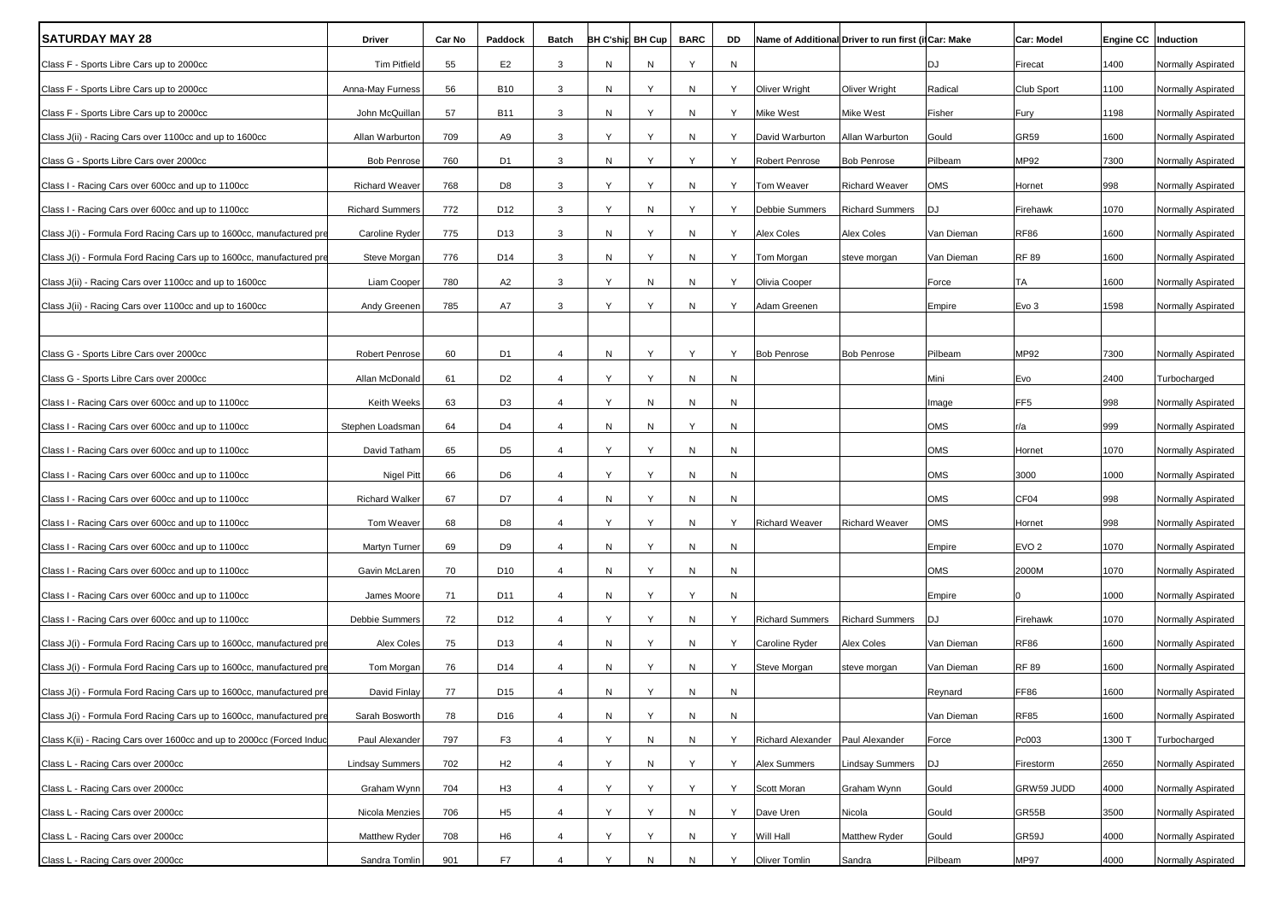| <b>SATURDAY MAY 28</b>                                               | Driver                 | Car No | Paddock         | <b>Batch</b>   |   | BH C'shin BH Cup | <b>BARC</b> | DD        |                        | Name of Additional Driver to run first (if Car: Make |            | Car: Model       | Engine CC   Induction |                    |
|----------------------------------------------------------------------|------------------------|--------|-----------------|----------------|---|------------------|-------------|-----------|------------------------|------------------------------------------------------|------------|------------------|-----------------------|--------------------|
| Class F - Sports Libre Cars up to 2000cc                             | <b>Tim Pitfield</b>    | 55     | E <sub>2</sub>  | 3              | N | N                | Y           | N         |                        |                                                      | DJ         | Firecat          | 1400                  | Normally Aspirated |
| Class F - Sports Libre Cars up to 2000cc                             | Anna-May Furness       | 56     | <b>B10</b>      | 3              | N | Y                | N           | Y         | Oliver Wright          | Oliver Wright                                        | Radical    | Club Sport       | 1100                  | Normally Aspirated |
| Class F - Sports Libre Cars up to 2000cc                             | John McQuillan         | 57     | <b>B11</b>      | 3              | N | Y                | N           | Y         | Mike West              | Mike West                                            | Fisher     | Fury             | 1198                  | Normally Aspirated |
| Class J(ii) - Racing Cars over 1100cc and up to 1600cc               | Allan Warburton        | 709    | A9              | 3              | Y | Y                | N           | Υ         | David Warburton        | Allan Warburton                                      | Gould      | <b>GR59</b>      | 1600                  | Normally Aspirated |
| Class G - Sports Libre Cars over 2000cc                              | <b>Bob Penrose</b>     | 760    | D1              | 3              | N | Y                | Υ           | Y         | Robert Penrose         | <b>Bob Penrose</b>                                   | Pilbeam    | MP92             | 7300                  | Normally Aspirated |
| Class I - Racing Cars over 600cc and up to 1100cc                    | <b>Richard Weaver</b>  | 768    | D <sub>8</sub>  | 3              | Υ | Y                | N           | Y         | Tom Weaver             | <b>Richard Weaver</b>                                | OMS        | Hornet           | 998                   | Normally Aspirated |
| Class I - Racing Cars over 600cc and up to 1100cc                    | <b>Richard Summers</b> | 772    | D12             | 3              | Y | Ν                | Y           | Υ         | Debbie Summers         | <b>Richard Summers</b>                               | DJ         | Firehawk         | 1070                  | Normally Aspirated |
| Class J(i) - Formula Ford Racing Cars up to 1600cc, manufactured pre | Caroline Ryder         | 775    | D13             | 3              | N | Y                | N           | Υ         | Alex Coles             | <b>Alex Coles</b>                                    | Van Dieman | <b>RF86</b>      | 1600                  | Normally Aspirated |
| Class J(i) - Formula Ford Racing Cars up to 1600cc, manufactured pre | Steve Morgan           | 776    | D14             | 3              | N | Y                | N           | Y         | Tom Morgan             | steve morgan                                         | Van Dieman | <b>RF 89</b>     | 1600                  | Normally Aspirated |
| Class J(ii) - Racing Cars over 1100cc and up to 1600cc               | Liam Cooper            | 780    | A <sub>2</sub>  | 3              | Y | ${\sf N}$        | N           | Y         | Olivia Cooper          |                                                      | Force      | <b>TA</b>        | 1600                  | Normally Aspirated |
| Class J(ii) - Racing Cars over 1100cc and up to 1600cc               | Andy Greenen           | 785    | A7              | 3              | Y | Y                | N           | Y         | Adam Greenen           |                                                      | Empire     | Evo 3            | 1598                  | Normally Aspirated |
|                                                                      |                        |        |                 |                |   |                  |             |           |                        |                                                      |            |                  |                       |                    |
| Class G - Sports Libre Cars over 2000cc                              | Robert Penrose         | 60     | D1              | $\overline{4}$ | N | Y                | Y           | Y         | <b>Bob Penrose</b>     | <b>Bob Penrose</b>                                   | Pilbeam    | MP92             | 7300                  | Normally Aspirated |
| Class G - Sports Libre Cars over 2000cc                              | Allan McDonald         | 61     | D <sub>2</sub>  | $\overline{4}$ | Υ | Y                | N           | N         |                        |                                                      | Mini       | Evo              | 2400                  | Turbocharged       |
| Class I - Racing Cars over 600cc and up to 1100cc                    | Keith Weeks            | 63     | D <sub>3</sub>  | $\overline{4}$ | Y | N                | N           | N         |                        |                                                      | Image      | FF <sub>5</sub>  | 998                   | Normally Aspirated |
| Class I - Racing Cars over 600cc and up to 1100cc                    | Stephen Loadsman       | 64     | D4              | $\overline{4}$ | N | Ν                | Y           | N         |                        |                                                      | OMS        | r/a              | 999                   | Normally Aspirated |
| Class I - Racing Cars over 600cc and up to 1100cc                    | David Tatham           | 65     | D <sub>5</sub>  | $\overline{4}$ | Y | Y                | N           | N         |                        |                                                      | OMS        | Hornet           | 1070                  | Normally Aspirated |
| Class I - Racing Cars over 600cc and up to 1100cc                    | <b>Nigel Pitt</b>      | 66     | D6              | $\overline{4}$ | Y | Y                | N           | N         |                        |                                                      | OMS        | 3000             | 1000                  | Normally Aspirated |
| Class I - Racing Cars over 600cc and up to 1100cc                    | <b>Richard Walker</b>  | 67     | D7              | $\overline{4}$ | N | Y                | N           | N         |                        |                                                      | OMS        | CF04             | 998                   | Normally Aspirated |
| Class I - Racing Cars over 600cc and up to 1100cc                    | Tom Weaver             | 68     | D <sub>8</sub>  | $\overline{4}$ | Y | Y                | N           | Y         | Richard Weaver         | <b>Richard Weaver</b>                                | OMS        | Hornet           | 998                   | Normally Aspirated |
| Class I - Racing Cars over 600cc and up to 1100cc                    | Martyn Turner          | 69     | D9              | $\overline{4}$ | N | Y                | N           | N         |                        |                                                      | Empire     | EVO <sub>2</sub> | 1070                  | Normally Aspirated |
| Class I - Racing Cars over 600cc and up to 1100cc                    | Gavin McLaren          | 70     | D <sub>10</sub> | $\overline{4}$ | N | Υ                | N           | N         |                        |                                                      | OMS        | 2000M            | 1070                  | Normally Aspirated |
| Class I - Racing Cars over 600cc and up to 1100cc                    | James Moore            | 71     | D11             | $\overline{4}$ | N | Y                | Υ           | N         |                        |                                                      | Empire     |                  | 1000                  | Normally Aspirated |
| Class I - Racing Cars over 600cc and up to 1100cc                    | Debbie Summers         | 72     | D12             | $\overline{4}$ | Y | Y                | N           | Y         | <b>Richard Summers</b> | <b>Richard Summers</b>                               | DJ         | Firehawk         | 1070                  | Normally Aspirated |
| Class J(i) - Formula Ford Racing Cars up to 1600cc, manufactured pre | Alex Coles             | 75     | D13             | $\overline{4}$ | N | Y                | N           | Y         | Caroline Ryder         | <b>Alex Coles</b>                                    | Van Dieman | <b>RF86</b>      | 1600                  | Normally Aspirated |
| Class J(i) - Formula Ford Racing Cars up to 1600cc, manufactured pre | Tom Morgan             | 76     | D14             | 4              | N | Y                | N           | Y         | Steve Morgan           | steve morgan                                         | Van Dieman | <b>RF 89</b>     | 1600                  | Normally Aspirated |
| Class J(i) - Formula Ford Racing Cars up to 1600cc, manufactured pr  | David Finlay           | 77     | D15             | $\overline{4}$ | N | Y                | N           | N         |                        |                                                      | Reynard    | <b>FF86</b>      | 1600                  | Normally Aspirated |
| Class J(i) - Formula Ford Racing Cars up to 1600cc, manufactured pre | Sarah Bosworth         | 78     | D16             | $\overline{4}$ | N | Y                | ${\sf N}$   | ${\sf N}$ |                        |                                                      | Van Dieman | <b>RF85</b>      | 1600                  | Normally Aspirated |
| Class K(ii) - Racing Cars over 1600cc and up to 2000cc (Forced Induc | Paul Alexander         | 797    | F <sub>3</sub>  | $\overline{4}$ | Y | N                | ${\sf N}$   | Y         | Richard Alexander      | Paul Alexander                                       | Force      | Pc003            | 1300 T                | Turbocharged       |
| Class L - Racing Cars over 2000cc                                    | <b>Lindsay Summers</b> | 702    | H <sub>2</sub>  | $\overline{4}$ | Y | Ν                | Y           | Y         | Alex Summers           | <b>Lindsay Summers</b>                               | DJ         | Firestorm        | 2650                  | Normally Aspirated |
| Class L - Racing Cars over 2000cc                                    | Graham Wynn            | 704    | H <sub>3</sub>  | $\overline{4}$ | Y | Y                | Y           | Y         | Scott Moran            | Graham Wynn                                          | Gould      | GRW59 JUDD       | 4000                  | Normally Aspirated |
| Class L - Racing Cars over 2000cc                                    | Nicola Menzies         | 706    | H5              | $\overline{4}$ | Y | Y                | ${\sf N}$   | Y         | Dave Uren              | Nicola                                               | Gould      | GR55B            | 3500                  | Normally Aspirated |
| Class L - Racing Cars over 2000cc                                    | Matthew Ryder          | 708    | H <sub>6</sub>  | $\overline{4}$ | Y | Υ                | N           | Υ         | Will Hall              | Matthew Ryder                                        | Gould      | GR59J            | 4000                  | Normally Aspirated |
| Class L - Racing Cars over 2000cc                                    | Sandra Tomlin          | 901    | F7              | $\overline{4}$ | Y | ${\sf N}$        | N           | Y         | Oliver Tomlin          | Sandra                                               | Pilbeam    | <b>MP97</b>      | 4000                  | Normally Aspirated |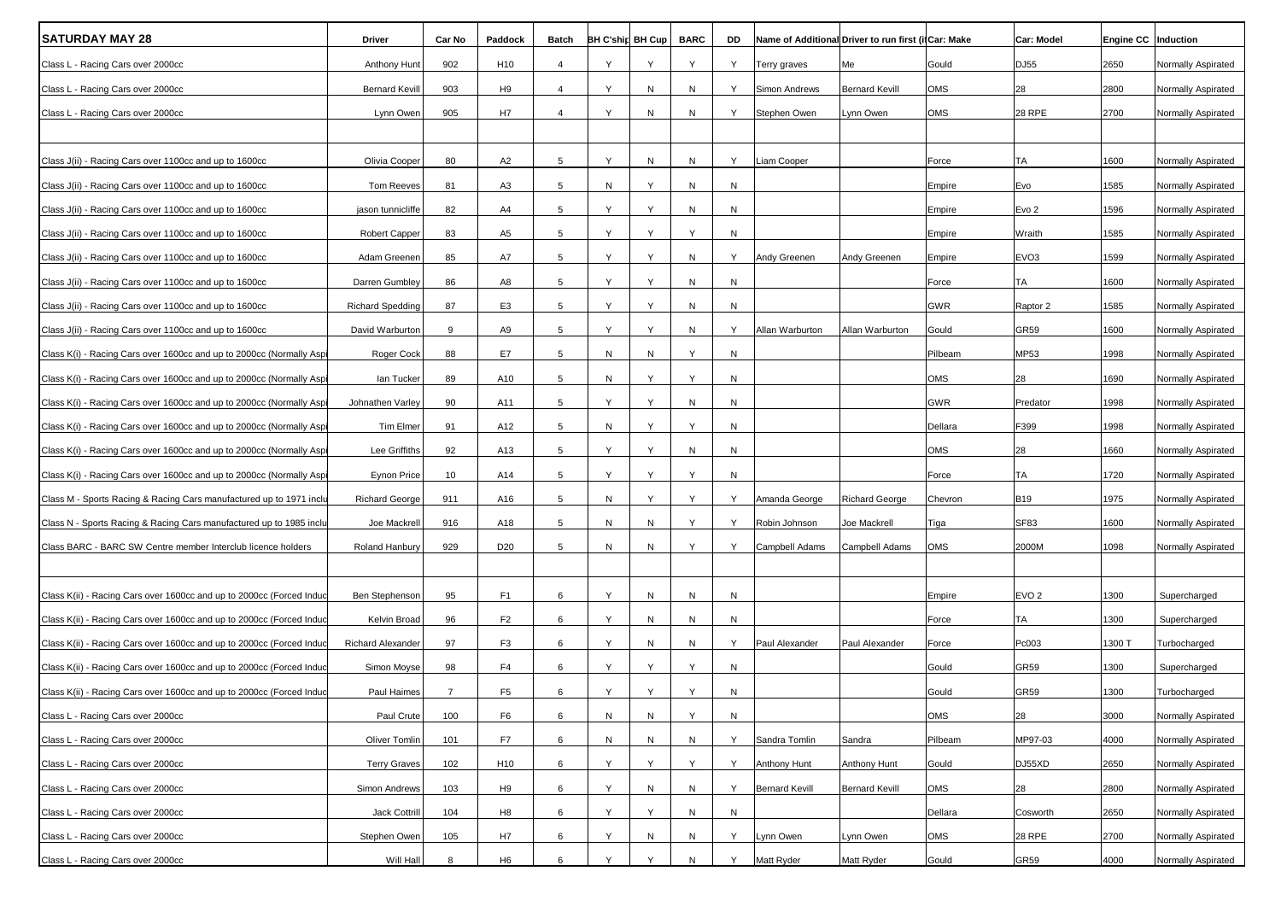| <b>SATURDAY MAY 28</b>                                               | Driver                  | Car No         | Paddock         | Batch           | <b>BH C'ship BH Cup</b> |   | <b>BARC</b> | DD | Name of Additional Driver to run first (il Car: Make |                       |            | <b>Car: Model</b> | Engine CC   Induction |                    |
|----------------------------------------------------------------------|-------------------------|----------------|-----------------|-----------------|-------------------------|---|-------------|----|------------------------------------------------------|-----------------------|------------|-------------------|-----------------------|--------------------|
| Class L - Racing Cars over 2000cc                                    | Anthony Hunt            | 902            | H <sub>10</sub> | $\overline{4}$  | Y                       | Y | Υ           | Y  | Terry graves                                         | Me                    | Gould      | DJ55              | 2650                  | Normally Aspirated |
| Class L - Racing Cars over 2000cc                                    | <b>Bernard Kevill</b>   | 903            | H <sub>9</sub>  | $\overline{4}$  | Υ                       | N | N           | Y  | Simon Andrews                                        | <b>Bernard Kevill</b> | OMS        | 28                | 2800                  | Normally Aspirated |
| Class L - Racing Cars over 2000cc                                    | Lynn Owen               | 905            | H7              | 4               | Y                       | N | N           | Y  | Stephen Owen                                         | Lynn Owen             | OMS        | <b>28 RPE</b>     | 2700                  | Normally Aspirated |
|                                                                      |                         |                |                 |                 |                         |   |             |    |                                                      |                       |            |                   |                       |                    |
| Class J(ii) - Racing Cars over 1100cc and up to 1600cc               | Olivia Cooper           | 80             | A <sub>2</sub>  | 5               | Y                       | N | N           | Y  | Liam Cooper                                          |                       | Force      | TA                | 1600                  | Normally Aspirated |
| Class J(ii) - Racing Cars over 1100cc and up to 1600cc               | Tom Reeves              | 81             | A <sub>3</sub>  | 5               | Ν                       | Υ | N           | N  |                                                      |                       | Empire     | Evo               | 1585                  | Normally Aspirated |
| Class J(ii) - Racing Cars over 1100cc and up to 1600cc               | jason tunnicliffe       | 82             | A4              | 5               | Υ                       | Y | N           | N  |                                                      |                       | Empire     | Evo <sub>2</sub>  | 1596                  | Normally Aspirated |
| Class J(ii) - Racing Cars over 1100cc and up to 1600cc               | Robert Capper           | 83             | A <sub>5</sub>  | 5               | Y                       | Υ | Υ           | N  |                                                      |                       | Empire     | Wraith            | 1585                  | Normally Aspirated |
| Class J(ii) - Racing Cars over 1100cc and up to 1600cc               | Adam Greenen            | 85             | A7              | 5               | Y                       | Y | N           | Y  | Andy Greenen                                         | Andy Greenen          | Empire     | EVO <sub>3</sub>  | 1599                  | Normally Aspirated |
| Class J(ii) - Racing Cars over 1100cc and up to 1600cc               | Darren Gumbley          | 86             | A8              | 5               | Y                       | Y | N           | N  |                                                      |                       | Force      | TA                | 1600                  | Normally Aspirated |
| Class J(ii) - Racing Cars over 1100cc and up to 1600cc               | <b>Richard Spedding</b> | 87             | E <sub>3</sub>  | $5^{\circ}$     | Y                       | Υ | N           | N  |                                                      |                       | GWR        | Raptor 2          | 1585                  | Normally Aspirated |
| Class J(ii) - Racing Cars over 1100cc and up to 1600cc               | David Warburton         | 9              | A9              | 5               | Y                       | Y | N           | Y  | Allan Warburton                                      | Allan Warburton       | Gould      | GR59              | 1600                  | Normally Aspirated |
| Class K(i) - Racing Cars over 1600cc and up to 2000cc (Normally Aspi | Roger Cock              | 88             | E7              | 5               | Ν                       | N | Υ           | N  |                                                      |                       | Pilbeam    | MP53              | 1998                  | Normally Aspirated |
| Class K(i) - Racing Cars over 1600cc and up to 2000cc (Normally Aspi | lan Tucker              | 89             | A10             | 5               | Ν                       | Υ | Y           | N  |                                                      |                       | <b>OMS</b> | 28                | 1690                  | Normally Aspirated |
| Class K(i) - Racing Cars over 1600cc and up to 2000cc (Normally Asp  | Johnathen Varley        | 90             | A11             | 5               | Y                       | Y | N           | N  |                                                      |                       | GWR        | Predator          | 1998                  | Normally Aspirated |
| Class K(i) - Racing Cars over 1600cc and up to 2000cc (Normally Aspi | Tim Elmer               | 91             | A12             | 5               | Ν                       | Y | Υ           | N  |                                                      |                       | Dellara    | F399              | 1998                  | Normally Aspirated |
| Class K(i) - Racing Cars over 1600cc and up to 2000cc (Normally Aspi | Lee Griffiths           | 92             | A13             | 5               | Y                       | Υ | N           | N  |                                                      |                       | <b>OMS</b> | 28                | 1660                  | Normally Aspirated |
| Class K(i) - Racing Cars over 1600cc and up to 2000cc (Normally Asp  | Eynon Price             | 10             | A14             | 5               | Υ                       | Y | Υ           | N  |                                                      |                       | Force      | TA                | 1720                  | Normally Aspirated |
| Class M - Sports Racing & Racing Cars manufactured up to 1971 inclu  | <b>Richard George</b>   | 911            | A16             | $5\overline{5}$ | Ν                       | Y | Y           | Y  | Amanda George                                        | <b>Richard George</b> | Chevron    | <b>B19</b>        | 1975                  | Normally Aspirated |
| Class N - Sports Racing & Racing Cars manufactured up to 1985 inclu  | Joe Mackrell            | 916            | A18             | 5               | Ν                       | N | Υ           | Y  | Robin Johnson                                        | Joe Mackrell          | Tiga       | <b>SF83</b>       | 1600                  | Normally Aspirated |
| Class BARC - BARC SW Centre member Interclub licence holders         | Roland Hanbury          | 929            | D <sub>20</sub> | 5               | N                       | N | Y           | Y  | Campbell Adams                                       | Campbell Adams        | OMS        | 2000M             | 1098                  | Normally Aspirated |
|                                                                      |                         |                |                 |                 |                         |   |             |    |                                                      |                       |            |                   |                       |                    |
| Class K(ii) - Racing Cars over 1600cc and up to 2000cc (Forced Induc | Ben Stephenson          | 95             | F <sub>1</sub>  | 6               | Y                       | N | N           | N  |                                                      |                       | Empire     | EVO <sub>2</sub>  | 1300                  | Supercharged       |
| Class K(ii) - Racing Cars over 1600cc and up to 2000cc (Forced Induc | Kelvin Broad            | 96             | F <sub>2</sub>  | 6               |                         | N | N           | N  |                                                      |                       | Force      | TA                | 1300                  | Supercharged       |
| Class K(ii) - Racing Cars over 1600cc and up to 2000cc (Forced Induc | Richard Alexander       | 97             | F <sub>3</sub>  | 6               | Y                       | N | N           | Y  | Paul Alexander                                       | Paul Alexander        | Force      | Pc003             | 1300 T                | Turbocharged       |
| Class K(ii) - Racing Cars over 1600cc and up to 2000cc (Forced Induc | Simon Moyse             | 98             | F <sub>4</sub>  | 6               | Y                       | Y | Υ           | N  |                                                      |                       | Gould      | GR59              | 1300                  | Supercharged       |
| Class K(ii) - Racing Cars over 1600cc and up to 2000cc (Forced Induc | Paul Haimes             | $\overline{7}$ | F <sub>5</sub>  | 6               |                         | Y | Y           | N  |                                                      |                       | Gould      | GR59              | 1300                  | Turbocharged       |
| Class L - Racing Cars over 2000cc                                    | Paul Crute              | 100            | F <sub>6</sub>  | 6               | N                       | N | Υ           | N  |                                                      |                       | OMS        | 28                | 3000                  | Normally Aspirated |
| Class L - Racing Cars over 2000cc                                    | Oliver Tomlin           | 101            | F7              | 6               | N                       | N | N           | Y  | Sandra Tomlin                                        | Sandra                | Pilbeam    | MP97-03           | 4000                  | Normally Aspirated |
| Class L - Racing Cars over 2000cc                                    | <b>Terry Graves</b>     | 102            | H <sub>10</sub> | 6               | Υ                       | Υ | Y           | Y  | Anthony Hunt                                         | Anthony Hunt          | Gould      | DJ55XD            | 2650                  | Normally Aspirated |
| Class L - Racing Cars over 2000cc                                    | Simon Andrews           | 103            | H <sub>9</sub>  | 6               | Y                       | N | N           | Y  | <b>Bernard Kevill</b>                                | <b>Bernard Kevill</b> | OMS        | 28                | 2800                  | Normally Aspirated |
| Class L - Racing Cars over 2000cc                                    | <b>Jack Cottrill</b>    | 104            | H <sub>8</sub>  | 6               | Y                       | Y | N           | N  |                                                      |                       | Dellara    | Cosworth          | 2650                  | Normally Aspirated |
| Class L - Racing Cars over 2000cc                                    | Stephen Owen            | 105            | H7              | 6               | Y                       | N | N           | Y  | Lynn Owen                                            | Lynn Owen             | OMS        | <b>28 RPE</b>     | 2700                  | Normally Aspirated |
| Class L - Racing Cars over 2000cc                                    | Will Hall               | 8              | H <sub>6</sub>  | 6               | Y                       | Y | N           | Y  | Matt Ryder                                           | Matt Ryder            | Gould      | GR59              | 4000                  | Normally Aspirated |